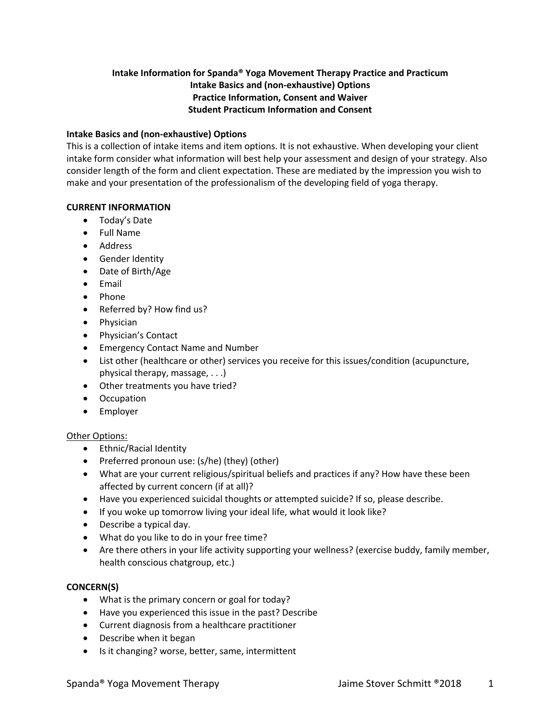# **Intake Information for Spanda® Yoga Movement Therapy Practice and Practicum Intake Basics and (non-exhaustive) Options Practice Information, Consent and Waiver Student Practicum Information and Consent**

## **Intake Basics and (non-exhaustive) Options**

This is a collection of intake items and item options. It is not exhaustive. When developing your client intake form consider what information will best help your assessment and design of your strategy. Also consider length of the form and client expectation. These are mediated by the impression you wish to make and your presentation of the professionalism of the developing field of yoga therapy.

## **CURRENT INFORMATION**

- Today's Date
- Full Name
- Address
- Gender Identity
- Date of Birth/Age
- Email
- Phone
- Referred by? How find us?
- Physician
- Physician's Contact
- Emergency Contact Name and Number
- List other (healthcare or other) services you receive for this issues/condition (acupuncture, physical therapy, massage, . . .)
- Other treatments you have tried?
- Occupation
- Employer

# Other Options:

- Ethnic/Racial Identity
- Preferred pronoun use: (s/he) (they) (other)
- What are your current religious/spiritual beliefs and practices if any? How have these been affected by current concern (if at all)?
- Have you experienced suicidal thoughts or attempted suicide? If so, please describe.
- If you woke up tomorrow living your ideal life, what would it look like?
- Describe a typical day.
- What do you like to do in your free time?
- Are there others in your life activity supporting your wellness? (exercise buddy, family member, health conscious chatgroup, etc.)

# **CONCERN(S)**

- What is the primary concern or goal for today?
- Have you experienced this issue in the past? Describe
- Current diagnosis from a healthcare practitioner
- Describe when it began
- Is it changing? worse, better, same, intermittent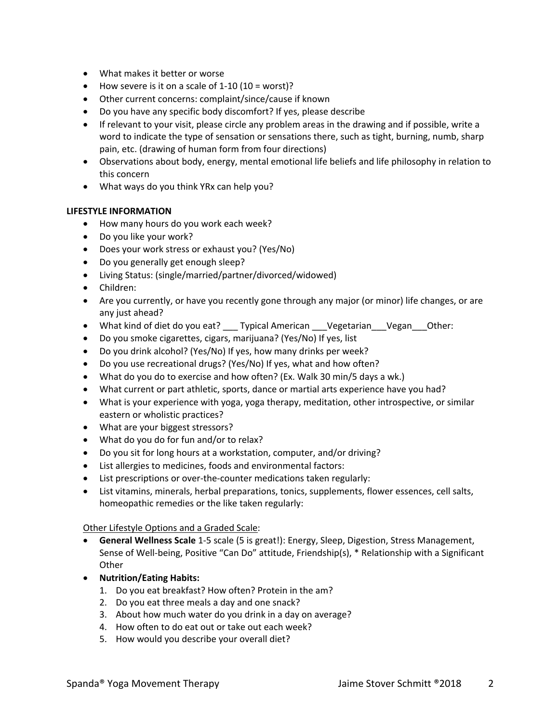- What makes it better or worse
- How severe is it on a scale of  $1-10$  ( $10 =$  worst)?
- Other current concerns: complaint/since/cause if known
- Do you have any specific body discomfort? If yes, please describe
- If relevant to your visit, please circle any problem areas in the drawing and if possible, write a word to indicate the type of sensation or sensations there, such as tight, burning, numb, sharp pain, etc. (drawing of human form from four directions)
- Observations about body, energy, mental emotional life beliefs and life philosophy in relation to this concern
- What ways do you think YRx can help you?

## **LIFESTYLE INFORMATION**

- How many hours do you work each week?
- Do you like your work?
- Does your work stress or exhaust you? (Yes/No)
- Do you generally get enough sleep?
- Living Status: (single/married/partner/divorced/widowed)
- Children:
- Are you currently, or have you recently gone through any major (or minor) life changes, or are any just ahead?
- What kind of diet do you eat? \_\_\_ Typical American \_\_\_ Vegetarian \_\_\_ Vegan \_\_\_ Other:
- Do you smoke cigarettes, cigars, marijuana? (Yes/No) If yes, list
- Do you drink alcohol? (Yes/No) If yes, how many drinks per week?
- Do you use recreational drugs? (Yes/No) If yes, what and how often?
- What do you do to exercise and how often? (Ex. Walk 30 min/5 days a wk.)
- What current or part athletic, sports, dance or martial arts experience have you had?
- What is your experience with yoga, yoga therapy, meditation, other introspective, or similar eastern or wholistic practices?
- What are your biggest stressors?
- What do you do for fun and/or to relax?
- Do you sit for long hours at a workstation, computer, and/or driving?
- List allergies to medicines, foods and environmental factors:
- List prescriptions or over-the-counter medications taken regularly:
- List vitamins, minerals, herbal preparations, tonics, supplements, flower essences, cell salts, homeopathic remedies or the like taken regularly:

Other Lifestyle Options and a Graded Scale:

- **General Wellness Scale** 1-5 scale (5 is great!): Energy, Sleep, Digestion, Stress Management, Sense of Well-being, Positive "Can Do" attitude, Friendship(s), \* Relationship with a Significant **Other**
- **Nutrition/Eating Habits:** 
	- 1. Do you eat breakfast? How often? Protein in the am?
	- 2. Do you eat three meals a day and one snack?
	- 3. About how much water do you drink in a day on average?
	- 4. How often to do eat out or take out each week?
	- 5. How would you describe your overall diet?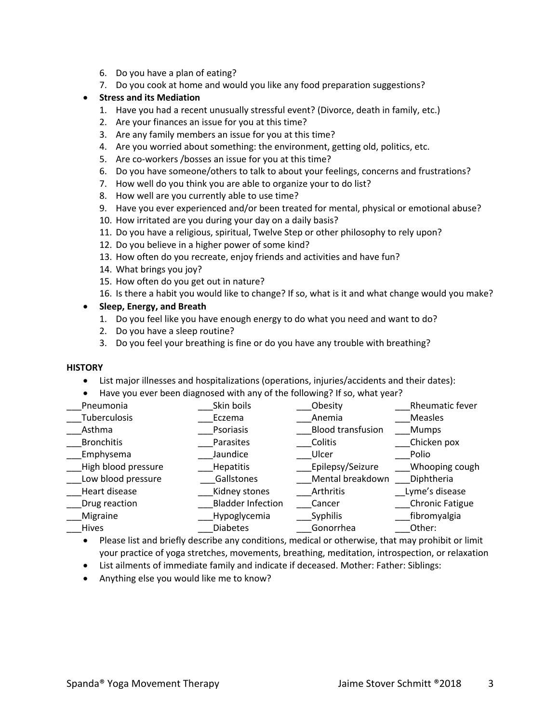- 6. Do you have a plan of eating?
- 7. Do you cook at home and would you like any food preparation suggestions?

### • **Stress and its Mediation**

- 1. Have you had a recent unusually stressful event? (Divorce, death in family, etc.)
- 2. Are your finances an issue for you at this time?
- 3. Are any family members an issue for you at this time?
- 4. Are you worried about something: the environment, getting old, politics, etc.
- 5. Are co-workers /bosses an issue for you at this time?
- 6. Do you have someone/others to talk to about your feelings, concerns and frustrations?
- 7. How well do you think you are able to organize your to do list?
- 8. How well are you currently able to use time?
- 9. Have you ever experienced and/or been treated for mental, physical or emotional abuse?
- 10. How irritated are you during your day on a daily basis?
- 11. Do you have a religious, spiritual, Twelve Step or other philosophy to rely upon?
- 12. Do you believe in a higher power of some kind?
- 13. How often do you recreate, enjoy friends and activities and have fun?
- 14. What brings you joy?
- 15. How often do you get out in nature?
- 16. Is there a habit you would like to change? If so, what is it and what change would you make?

### • **Sleep, Energy, and Breath**

- 1. Do you feel like you have enough energy to do what you need and want to do?
- 2. Do you have a sleep routine?
- 3. Do you feel your breathing is fine or do you have any trouble with breathing?

### **HISTORY**

- List major illnesses and hospitalizations (operations, injuries/accidents and their dates):
- Have you ever been diagnosed with any of the following? If so, what year?

| Pneumonia           | Skin boils               | Obesity                  | Rheumatic fever        |
|---------------------|--------------------------|--------------------------|------------------------|
| Tuberculosis        | Eczema                   | Anemia                   | <b>Measles</b>         |
| Asthma              | Psoriasis                | <b>Blood transfusion</b> | <b>Mumps</b>           |
| <b>Bronchitis</b>   | Parasites                | Colitis                  | Chicken pox            |
| Emphysema           | Jaundice                 | Ulcer                    | Polio                  |
| High blood pressure | <b>Hepatitis</b>         | Epilepsy/Seizure         | Whooping cough         |
| Low blood pressure  | Gallstones               | Mental breakdown         | Diphtheria             |
| Heart disease       | Kidney stones            | Arthritis                | Lyme's disease         |
| Drug reaction       | <b>Bladder Infection</b> | Cancer                   | <b>Chronic Fatigue</b> |
| Migraine            | Hypoglycemia             | Syphilis                 | fibromyalgia           |
| Hives               | <b>Diabetes</b>          | Gonorrhea                | Other:                 |

- Please list and briefly describe any conditions, medical or otherwise, that may prohibit or limit your practice of yoga stretches, movements, breathing, meditation, introspection, or relaxation
- List ailments of immediate family and indicate if deceased. Mother: Father: Siblings:
- Anything else you would like me to know?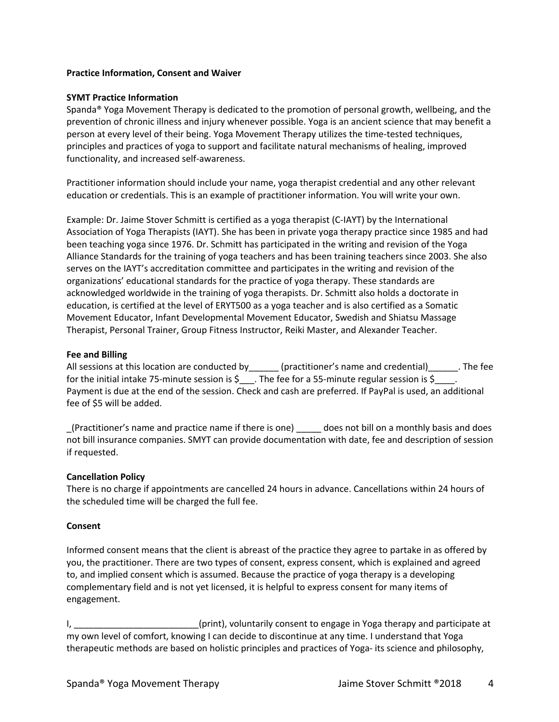## **Practice Information, Consent and Waiver**

### **SYMT Practice Information**

Spanda® Yoga Movement Therapy is dedicated to the promotion of personal growth, wellbeing, and the prevention of chronic illness and injury whenever possible. Yoga is an ancient science that may benefit a person at every level of their being. Yoga Movement Therapy utilizes the time-tested techniques, principles and practices of yoga to support and facilitate natural mechanisms of healing, improved functionality, and increased self-awareness.

Practitioner information should include your name, yoga therapist credential and any other relevant education or credentials. This is an example of practitioner information. You will write your own.

Example: Dr. Jaime Stover Schmitt is certified as a yoga therapist (C-IAYT) by the International Association of Yoga Therapists (IAYT). She has been in private yoga therapy practice since 1985 and had been teaching yoga since 1976. Dr. Schmitt has participated in the writing and revision of the Yoga Alliance Standards for the training of yoga teachers and has been training teachers since 2003. She also serves on the IAYT's accreditation committee and participates in the writing and revision of the organizations' educational standards for the practice of yoga therapy. These standards are acknowledged worldwide in the training of yoga therapists. Dr. Schmitt also holds a doctorate in education, is certified at the level of ERYT500 as a yoga teacher and is also certified as a Somatic Movement Educator, Infant Developmental Movement Educator, Swedish and Shiatsu Massage Therapist, Personal Trainer, Group Fitness Instructor, Reiki Master, and Alexander Teacher.

### **Fee and Billing**

All sessions at this location are conducted by example interactioner's name and credential) The fee for the initial intake 75-minute session is \$ $\blacksquare$ . The fee for a 55-minute regular session is \$ $\blacksquare$ . Payment is due at the end of the session. Check and cash are preferred. If PayPal is used, an additional fee of \$5 will be added.

\_(Practitioner's name and practice name if there is one) \_\_\_\_\_ does not bill on a monthly basis and does not bill insurance companies. SMYT can provide documentation with date, fee and description of session if requested.

## **Cancellation Policy**

There is no charge if appointments are cancelled 24 hours in advance. Cancellations within 24 hours of the scheduled time will be charged the full fee.

### **Consent**

Informed consent means that the client is abreast of the practice they agree to partake in as offered by you, the practitioner. There are two types of consent, express consent, which is explained and agreed to, and implied consent which is assumed. Because the practice of yoga therapy is a developing complementary field and is not yet licensed, it is helpful to express consent for many items of engagement.

I, \_\_\_\_\_\_\_\_\_\_\_\_\_\_\_\_\_\_\_\_\_\_\_\_\_\_(print), voluntarily consent to engage in Yoga therapy and participate at my own level of comfort, knowing I can decide to discontinue at any time. I understand that Yoga therapeutic methods are based on holistic principles and practices of Yoga- its science and philosophy,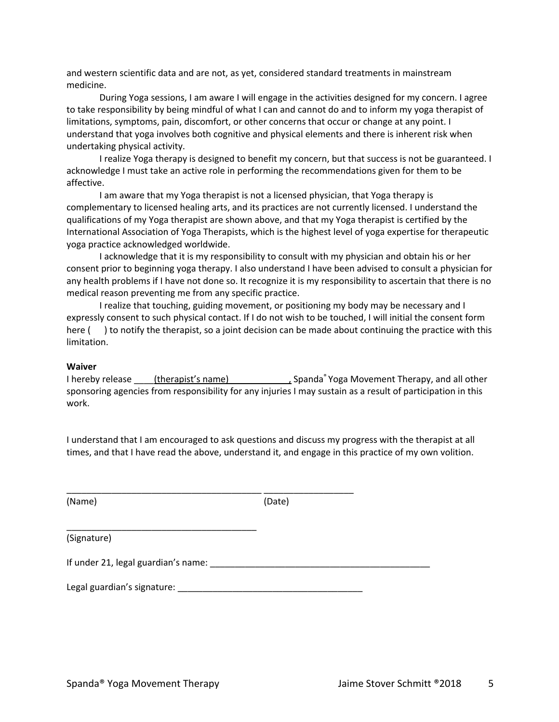and western scientific data and are not, as yet, considered standard treatments in mainstream medicine.

During Yoga sessions, I am aware I will engage in the activities designed for my concern. I agree to take responsibility by being mindful of what I can and cannot do and to inform my yoga therapist of limitations, symptoms, pain, discomfort, or other concerns that occur or change at any point. I understand that yoga involves both cognitive and physical elements and there is inherent risk when undertaking physical activity.

I realize Yoga therapy is designed to benefit my concern, but that success is not be guaranteed. I acknowledge I must take an active role in performing the recommendations given for them to be affective.

I am aware that my Yoga therapist is not a licensed physician, that Yoga therapy is complementary to licensed healing arts, and its practices are not currently licensed. I understand the qualifications of my Yoga therapist are shown above, and that my Yoga therapist is certified by the International Association of Yoga Therapists, which is the highest level of yoga expertise for therapeutic yoga practice acknowledged worldwide.

I acknowledge that it is my responsibility to consult with my physician and obtain his or her consent prior to beginning yoga therapy. I also understand I have been advised to consult a physician for any health problems if I have not done so. It recognize it is my responsibility to ascertain that there is no medical reason preventing me from any specific practice.

I realize that touching, guiding movement, or positioning my body may be necessary and I expressly consent to such physical contact. If I do not wish to be touched, I will initial the consent form here () to notify the therapist, so a joint decision can be made about continuing the practice with this limitation.

#### **Waiver**

I hereby release \_\_\_\_\_(therapist's name) \_\_\_\_\_\_\_\_\_\_\_\_\_\_\_, Spanda<sup>®</sup> Yoga Movement Therapy, and all other sponsoring agencies from responsibility for any injuries I may sustain as a result of participation in this work.

I understand that I am encouraged to ask questions and discuss my progress with the therapist at all times, and that I have read the above, understand it, and engage in this practice of my own volition.

(Name) (Date)

(Signature)

| If under 21, legal guardian's name: |  |
|-------------------------------------|--|
|-------------------------------------|--|

\_\_\_\_\_\_\_\_\_\_\_\_\_\_\_\_\_\_\_\_\_\_\_\_\_\_\_\_\_\_\_\_\_\_\_\_\_\_\_ \_\_\_\_\_\_\_\_\_\_\_\_\_\_\_\_\_\_

#### Legal guardian's signature: \_\_\_\_\_\_\_\_\_\_\_\_\_\_\_\_\_\_\_\_\_\_\_\_\_\_\_\_\_\_\_\_\_\_\_\_\_

\_\_\_\_\_\_\_\_\_\_\_\_\_\_\_\_\_\_\_\_\_\_\_\_\_\_\_\_\_\_\_\_\_\_\_\_\_\_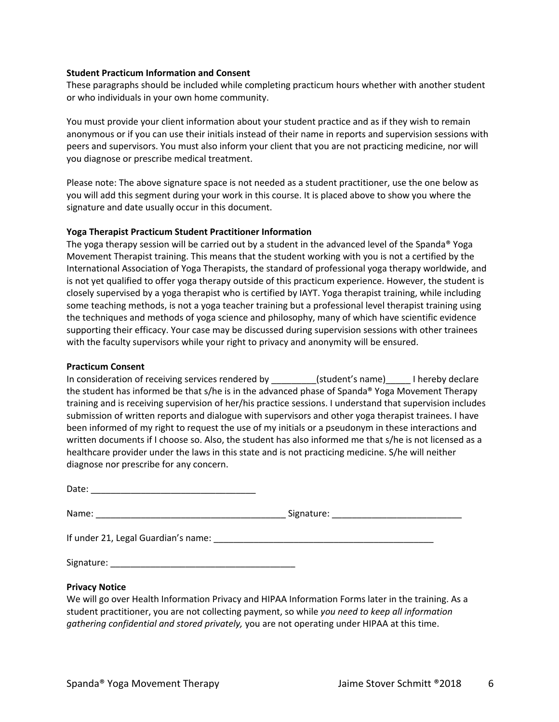### **Student Practicum Information and Consent**

These paragraphs should be included while completing practicum hours whether with another student or who individuals in your own home community.

You must provide your client information about your student practice and as if they wish to remain anonymous or if you can use their initials instead of their name in reports and supervision sessions with peers and supervisors. You must also inform your client that you are not practicing medicine, nor will you diagnose or prescribe medical treatment.

Please note: The above signature space is not needed as a student practitioner, use the one below as you will add this segment during your work in this course. It is placed above to show you where the signature and date usually occur in this document.

### **Yoga Therapist Practicum Student Practitioner Information**

The yoga therapy session will be carried out by a student in the advanced level of the Spanda® Yoga Movement Therapist training. This means that the student working with you is not a certified by the International Association of Yoga Therapists, the standard of professional yoga therapy worldwide, and is not yet qualified to offer yoga therapy outside of this practicum experience. However, the student is closely supervised by a yoga therapist who is certified by IAYT. Yoga therapist training, while including some teaching methods, is not a yoga teacher training but a professional level therapist training using the techniques and methods of yoga science and philosophy, many of which have scientific evidence supporting their efficacy. Your case may be discussed during supervision sessions with other trainees with the faculty supervisors while your right to privacy and anonymity will be ensured.

### **Practicum Consent**

In consideration of receiving services rendered by \_\_\_\_\_\_\_\_\_(student's name)\_\_\_\_\_ I hereby declare the student has informed be that s/he is in the advanced phase of Spanda® Yoga Movement Therapy training and is receiving supervision of her/his practice sessions. I understand that supervision includes submission of written reports and dialogue with supervisors and other yoga therapist trainees. I have been informed of my right to request the use of my initials or a pseudonym in these interactions and written documents if I choose so. Also, the student has also informed me that s/he is not licensed as a healthcare provider under the laws in this state and is not practicing medicine. S/he will neither diagnose nor prescribe for any concern.

| <b>Privacy Notice</b> |  |
|-----------------------|--|

We will go over Health Information Privacy and HIPAA Information Forms later in the training. As a student practitioner, you are not collecting payment, so while *you need to keep all information gathering confidential and stored privately,* you are not operating under HIPAA at this time.